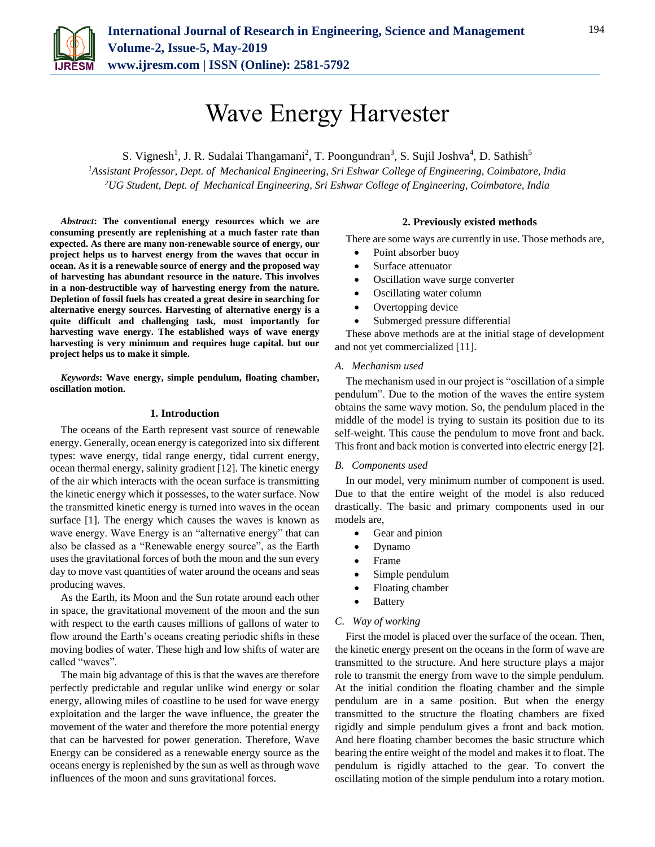

# Wave Energy Harvester

S. Vignesh<sup>1</sup>, J. R. Sudalai Thangamani<sup>2</sup>, T. Poongundran<sup>3</sup>, S. Sujil Joshva<sup>4</sup>, D. Sathish<sup>5</sup>

*<sup>1</sup>Assistant Professor, Dept. of Mechanical Engineering, Sri Eshwar College of Engineering, Coimbatore, India 2UG Student, Dept. of Mechanical Engineering, Sri Eshwar College of Engineering, Coimbatore, India*

*Abstract***: The conventional energy resources which we are consuming presently are replenishing at a much faster rate than expected. As there are many non-renewable source of energy, our project helps us to harvest energy from the waves that occur in ocean. As it is a renewable source of energy and the proposed way of harvesting has abundant resource in the nature. This involves in a non-destructible way of harvesting energy from the nature. Depletion of fossil fuels has created a great desire in searching for alternative energy sources. Harvesting of alternative energy is a quite difficult and challenging task, most importantly for harvesting wave energy. The established ways of wave energy harvesting is very minimum and requires huge capital. but our project helps us to make it simple.**

*Keywords***: Wave energy, simple pendulum, floating chamber, oscillation motion.**

## **1. Introduction**

The oceans of the Earth represent vast source of renewable energy. Generally, ocean energy is categorized into six different types: wave energy, tidal range energy, tidal current energy, ocean thermal energy, salinity gradient [12]. The kinetic energy of the air which interacts with the ocean surface is transmitting the kinetic energy which it possesses, to the water surface. Now the transmitted kinetic energy is turned into waves in the ocean surface [1]. The energy which causes the waves is known as wave energy. Wave Energy is an "alternative energy" that can also be classed as a "Renewable energy source", as the Earth uses the gravitational forces of both the moon and the sun every day to move vast quantities of water around the oceans and seas producing waves.

As the Earth, its Moon and the Sun rotate around each other in space, the gravitational movement of the moon and the sun with respect to the earth causes millions of gallons of water to flow around the Earth's oceans creating periodic shifts in these moving bodies of water. These high and low shifts of water are called "waves".

The main big advantage of this is that the waves are therefore perfectly predictable and regular unlike wind energy or solar energy, allowing miles of coastline to be used for wave energy exploitation and the larger the wave influence, the greater the movement of the water and therefore the more potential energy that can be harvested for power generation. Therefore, Wave Energy can be considered as a renewable energy source as the oceans energy is replenished by the sun as well as through wave influences of the moon and suns gravitational forces.

## **2. Previously existed methods**

There are some ways are currently in use. Those methods are,

- Point absorber buoy
- Surface attenuator
- Oscillation wave surge converter
- Oscillating water column
- Overtopping device
- Submerged pressure differential

These above methods are at the initial stage of development and not yet commercialized [11].

#### *A. Mechanism used*

The mechanism used in our project is "oscillation of a simple pendulum". Due to the motion of the waves the entire system obtains the same wavy motion. So, the pendulum placed in the middle of the model is trying to sustain its position due to its self-weight. This cause the pendulum to move front and back. This front and back motion is converted into electric energy [2].

#### *B. Components used*

In our model, very minimum number of component is used. Due to that the entire weight of the model is also reduced drastically. The basic and primary components used in our models are,

- Gear and pinion
- Dynamo
- Frame
- Simple pendulum
- Floating chamber
- Battery

### *C. Way of working*

First the model is placed over the surface of the ocean. Then, the kinetic energy present on the oceans in the form of wave are transmitted to the structure. And here structure plays a major role to transmit the energy from wave to the simple pendulum. At the initial condition the floating chamber and the simple pendulum are in a same position. But when the energy transmitted to the structure the floating chambers are fixed rigidly and simple pendulum gives a front and back motion. And here floating chamber becomes the basic structure which bearing the entire weight of the model and makes it to float. The pendulum is rigidly attached to the gear. To convert the oscillating motion of the simple pendulum into a rotary motion.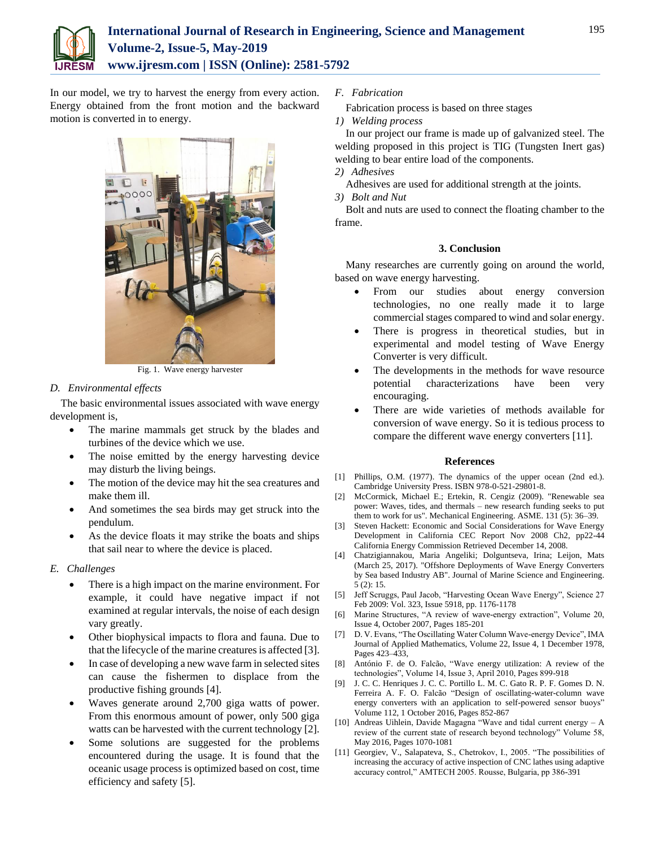

In our model, we try to harvest the energy from every action. Energy obtained from the front motion and the backward motion is converted in to energy.



Fig. 1. Wave energy harvester

# *D. Environmental effects*

The basic environmental issues associated with wave energy development is,

- The marine mammals get struck by the blades and turbines of the device which we use.
- The noise emitted by the energy harvesting device may disturb the living beings.
- The motion of the device may hit the sea creatures and make them ill.
- And sometimes the sea birds may get struck into the pendulum.
- As the device floats it may strike the boats and ships that sail near to where the device is placed.

# *E. Challenges*

- There is a high impact on the marine environment. For example, it could have negative impact if not examined at regular intervals, the noise of each design vary greatly.
- Other biophysical impacts to flora and fauna. Due to that the lifecycle of the marine creatures is affected [3].
- In case of developing a new wave farm in selected sites can cause the fishermen to displace from the productive fishing grounds [4].
- Waves generate around 2,700 giga watts of power. From this enormous amount of power, only 500 giga watts can be harvested with the current technology [2].
- Some solutions are suggested for the problems encountered during the usage. It is found that the oceanic usage process is optimized based on cost, time efficiency and safety [5].
- *F. Fabrication*
- Fabrication process is based on three stages
- *1) Welding process*

In our project our frame is made up of galvanized steel. The welding proposed in this project is TIG (Tungsten Inert gas) welding to bear entire load of the components.

- *2) Adhesives*
	- Adhesives are used for additional strength at the joints.
- *3) Bolt and Nut*

Bolt and nuts are used to connect the floating chamber to the frame.

## **3. Conclusion**

Many researches are currently going on around the world, based on wave energy harvesting.

- From our studies about energy conversion technologies, no one really made it to large commercial stages compared to wind and solar energy.
- There is progress in theoretical studies, but in experimental and model testing of Wave Energy Converter is very difficult.
- The developments in the methods for wave resource potential characterizations have been very encouraging.
- There are wide varieties of methods available for conversion of wave energy. So it is tedious process to compare the different wave energy converters [11].

## **References**

- [1] Phillips, O.M. (1977). The dynamics of the upper ocean (2nd ed.). Cambridge University Press. ISBN 978-0-521-29801-8.
- [2] McCormick, Michael E.; Ertekin, R. Cengiz (2009). "Renewable sea power: Waves, tides, and thermals – new research funding seeks to put them to work for us". Mechanical Engineering. ASME. 131 (5): 36–39.
- [3] Steven Hackett: Economic and Social Considerations for Wave Energy Development in California CEC Report Nov 2008 Ch2, pp22-44 California Energy Commission Retrieved December 14, 2008.
- [4] Chatzigiannakou, Maria Angeliki; Dolguntseva, Irina; Leijon, Mats (March 25, 2017). "Offshore Deployments of Wave Energy Converters by Sea based Industry AB". Journal of Marine Science and Engineering. 5 (2): 15.
- [5] Jeff Scruggs, Paul Jacob, "Harvesting Ocean Wave Energy", Science 27 Feb 2009: Vol. 323, Issue 5918, pp. 1176-1178
- [6] Marine Structures, "A review of wave-energy extraction", Volume 20, Issue 4, October 2007, Pages 185-201
- [7] D. V. Evans, "The Oscillating Water Column Wave-energy Device", IMA Journal of Applied Mathematics, Volume 22, Issue 4, 1 December 1978, Pages 423–433,
- [8] António F. de O. Falcão, "Wave energy utilization: A review of the technologies", Volume 14, Issue 3, April 2010, Pages 899-918
- [9] J. C. C. Henriques J. C. C. Portillo L. M. C. Gato R. P. F. Gomes D. N. Ferreira A. F. O. Falcão "Design of oscillating-water-column wave energy converters with an application to self-powered sensor buoys" Volume 112, 1 October 2016, Pages 852-867
- [10] Andreas Uihlein, Davide Magagna "Wave and tidal current energy A review of the current state of research beyond technology" Volume 58, May 2016, Pages 1070-1081
- [11] Georgiev, V., Salapateva, S., Chetrokov, I., 2005. "The possibilities of increasing the accuracy of active inspection of CNC lathes using adaptive accuracy control," AMTECH 2005. Rousse, Bulgaria, pp 386-391